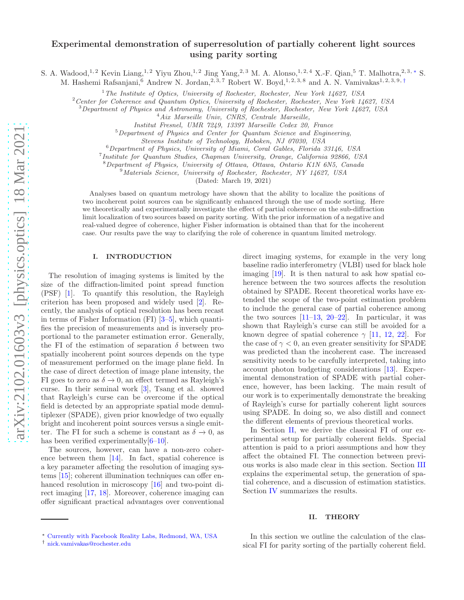# Experimental demonstration of superresolution of partially coherent light sources using parity sorting

S. A. Wadood,<sup>1,2</sup> Kevin Liang,<sup>1,2</sup> Yiyu Zhou,<sup>1,2</sup> Jing Yang,<sup>2,3</sup> M. A. Alonso,<sup>1,2,4</sup> X.-F. Qian,<sup>5</sup> T. Malhotra,<sup>2,3,\*</sup> S.

M. Hashemi Rafsanjani,<sup>6</sup> Andrew N. Jordan,<sup>2,3,7</sup> Robert W. Boyd,<sup>1,2,3,8</sup> and A. N. Vamivakas<sup>1,2,3,9,[†](#page-0-1)</sup>

<sup>1</sup>*The Institute of Optics, University of Rochester, Rochester, New York 14627, USA*

<sup>2</sup>*Center for Coherence and Quantum Optics, University of Rochester, Rochester, New York 14627, USA*

<sup>3</sup>*Department of Physics and Astronomy, University of Rochester, Rochester, New York 14627, USA*

<sup>4</sup>*Aix Marseille Univ, CNRS, Centrale Marseille,*

*Institut Fresnel, UMR 7249, 13397 Marseille Cedex 20, France*

<sup>5</sup>*Department of Physics and Center for Quantum Science and Engineering,*

*Stevens Institute of Technology, Hoboken, NJ 07030, USA*

<sup>6</sup>*Department of Physics, University of Miami, Coral Gables, Florida 33146, USA*

7 *Institute for Quantum Studies, Chapman University, Orange, California 92866, USA*

<sup>8</sup>*Department of Physics, University of Ottawa, Ottawa, Ontario K1N 6N5, Canada*

<sup>9</sup>*Materials Science, University of Rochester, Rochester, NY 14627, USA*

(Dated: March 19, 2021)

Analyses based on quantum metrology have shown that the ability to localize the positions of two incoherent point sources can be significantly enhanced through the use of mode sorting. Here we theoretically and experimentally investigate the effect of partial coherence on the sub-diffraction limit localization of two sources based on parity sorting. With the prior information of a negative and real-valued degree of coherence, higher Fisher information is obtained than that for the incoherent case. Our results pave the way to clarifying the role of coherence in quantum limited metrology.

### I. INTRODUCTION

The resolution of imaging systems is limited by the size of the diffraction-limited point spread function (PSF) [\[1](#page-6-0)]. To quantify this resolution, the Rayleigh criterion has been proposed and widely used [\[2](#page-6-1)]. Recently, the analysis of optical resolution has been recast in terms of Fisher Information (FI) [\[3](#page-6-2)[–5\]](#page-6-3), which quantifies the precision of measurements and is inversely proportional to the parameter estimation error. Generally, the FI of the estimation of separation  $\delta$  between two spatially incoherent point sources depends on the type of measurement performed on the image plane field. In the case of direct detection of image plane intensity, the FI goes to zero as  $\delta \rightarrow 0$ , an effect termed as Rayleigh's curse. In their seminal work [\[3\]](#page-6-2), Tsang et al. showed that Rayleigh's curse can be overcome if the optical field is detected by an appropriate spatial mode demultiplexer (SPADE), given prior knowledge of two equally bright and incoherent point sources versus a single emitter. The FI for such a scheme is constant as  $\delta \to 0$ , as has been verified experimentally $[6-10]$  $[6-10]$ .

The sources, however, can have a non-zero coherence between them [\[14\]](#page-6-6). In fact, spatial coherence is a key parameter affecting the resolution of imaging systems [\[15](#page-6-7)]; coherent illumination techniques can offer en-hanced resolution in microscopy [\[16\]](#page-6-8) and two-point direct imaging [\[17,](#page-6-9) [18\]](#page-6-10). Moreover, coherence imaging can offer significant practical advantages over conventional direct imaging systems, for example in the very long baseline radio interferometry (VLBI) used for black hole imaging [\[19\]](#page-6-11). It is then natural to ask how spatial coherence between the two sources affects the resolution obtained by SPADE. Recent theoretical works have extended the scope of the two-point estimation problem to include the general case of partial coherence among the two sources  $[11-13, 20-22]$  $[11-13, 20-22]$  $[11-13, 20-22]$ . In particular, it was shown that Rayleigh's curse can still be avoided for a known degree of spatial coherence  $\gamma$  [\[11](#page-6-12), [12](#page-6-16), [22](#page-6-15)]. For the case of  $\gamma < 0$ , an even greater sensitivity for SPADE was predicted than the incoherent case. The increased sensitivity needs to be carefully interpreted, taking into account photon budgeting considerations [\[13\]](#page-6-13). Experimental demonstration of SPADE with partial coherence, however, has been lacking. The main result of our work is to experimentally demonstrate the breaking of Rayleigh's curse for partially coherent light sources using SPADE. In doing so, we also distill and connect the different elements of previous theoretical works.

In Section [II,](#page-0-2) we derive the classical FI of our experimental setup for partially coherent fields. Special attention is paid to a priori assumptions and how they affect the obtained FI. The connection between previous works is also made clear in this section. Section [III](#page-2-0) explains the experimental setup, the generation of spatial coherence, and a discussion of estimation statistics. Section [IV](#page-5-0) summarizes the results.

# <span id="page-0-2"></span>II. THEORY

In this section we outline the calculation of the classical FI for parity sorting of the partially coherent field.

<span id="page-0-0"></span><sup>∗</sup> [Currently with Facebook Reality Labs, Redmond, WA, USA](mailto:Currently with Facebook Reality Labs, Redmond, WA, USA)

<span id="page-0-1"></span><sup>†</sup> [nick.vamivakas@rochester.edu](mailto:nick.vamivakas@rochester.edu)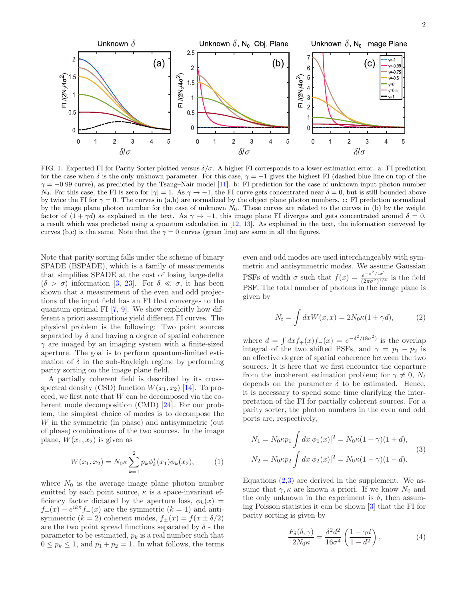

<span id="page-1-2"></span>FIG. 1. Expected FI for Parity Sorter plotted versus  $\delta/\sigma$ . A higher FI corresponds to a lower estimation error. a: FI prediction for the case when  $\delta$  is the only unknown parameter. For this case,  $\gamma = -1$  gives the highest FI (dashed blue line on top of the  $\gamma = -0.99$  curve), as predicted by the Tsang–Nair model [\[11\]](#page-6-12). b: FI prediction for the case of unknown input photon number N<sub>0</sub>. For this case, the FI is zero for  $|\gamma|=1$ . As  $\gamma \to -1$ , the FI curve gets concentrated near  $\delta=0$ , but is still bounded above by twice the FI for  $\gamma = 0$ . The curves in (a,b) are normalized by the object plane photon numbers. c: FI prediction normalized by the image plane photon number for the case of unknown  $N_0$ . These curves are related to the curves in (b) by the weight factor of  $(1 + \gamma d)$  as explained in the text. As  $\gamma \to -1$ , this image plane FI diverges and gets concentrated around  $\delta = 0$ , a result which was predicted using a quantum calculation in [\[12](#page-6-16), [13\]](#page-6-13). As explained in the text, the information conveyed by curves (b,c) is the same. Note that the  $\gamma = 0$  curves (green line) are same in all the figures.

Note that parity sorting falls under the scheme of binary SPADE (BSPADE), which is a family of measurements that simplifies SPADE at the cost of losing large-delta  $(\delta > \sigma)$  information [\[3](#page-6-2), [23\]](#page-6-17). For  $\delta \ll \sigma$ , it has been shown that a measurement of the even and odd projections of the input field has an FI that converges to the quantum optimal FI [\[7,](#page-6-18) [9](#page-6-19)]. We show explicitly how different a priori assumptions yield different FI curves. The physical problem is the following: Two point sources separated by  $\delta$  and having a degree of spatial coherence  $\gamma$  are imaged by an imaging system with a finite-sized aperture. The goal is to perform quantum-limited estimation of  $\delta$  in the sub-Rayleigh regime by performing parity sorting on the image plane field.

A partially coherent field is described by its crossspectral density (CSD) function  $W(x_1, x_2)$  [\[14\]](#page-6-6). To proceed, we first note that W can be decomposed via the coherent mode decomposition (CMD) [\[24\]](#page-6-20). For our problem, the simplest choice of modes is to decompose the W in the symmetric (in phase) and antisymmetric (out of phase) combinations of the two sources. In the image plane,  $W(x_1, x_2)$  is given as

$$
W(x_1, x_2) = N_0 \kappa \sum_{k=1}^{2} p_k \phi_k^*(x_1) \phi_k(x_2), \quad (1)
$$

where  $N_0$  is the average image plane photon number emitted by each point source,  $\kappa$  is a space-invariant efficiency factor dictated by the aperture loss,  $\phi_k(x)$  =  $f_{+}(x) - e^{ik\pi} f_{-}(x)$  are the symmetric  $(k = 1)$  and antisymmetric  $(k = 2)$  coherent modes,  $f_{\pm}(x) = f(x \pm \delta/2)$ are the two point spread functions separated by  $\delta$  - the parameter to be estimated,  $p_k$  is a real number such that  $0 \leq p_k \leq 1$ , and  $p_1 + p_2 = 1$ . In what follows, the terms

even and odd modes are used interchangeably with symmetric and antisymmetric modes. We assume Gaussian PSFs of width  $\sigma$  such that  $f(x) = \frac{e^{-x^2/4\sigma^2}}{(2\pi\sigma^2)^{1/4}}$  $\frac{e^{-x^2/10}}{(2\pi\sigma^2)^{1/4}}$  is the field PSF. The total number of photons in the image plane is given by

<span id="page-1-0"></span>
$$
N_t = \int dx W(x, x) = 2N_0 \kappa (1 + \gamma d), \qquad (2)
$$

where  $d = \int dx f_+(x) f_-(x) = e^{-\delta^2/(8\sigma^2)}$  is the overlap integral of the two shifted PSFs, and  $\gamma = p_1 - p_2$  is an effective degree of spatial coherence between the two sources. It is here that we first encounter the departure from the incoherent estimation problem; for  $\gamma \neq 0$ ,  $N_t$ depends on the parameter  $\delta$  to be estimated. Hence, it is necessary to spend some time clarifying the interpretation of the FI for partially coherent sources. For a parity sorter, the photon numbers in the even and odd ports are, respectively,

<span id="page-1-1"></span>
$$
N_1 = N_0 \kappa p_1 \int dx |\phi_1(x)|^2 = N_0 \kappa (1 + \gamma)(1 + d),
$$
  
\n
$$
N_2 = N_0 \kappa p_2 \int dx |\phi_2(x)|^2 = N_0 \kappa (1 - \gamma)(1 - d).
$$
\n(3)

<span id="page-1-3"></span>Equations  $(2,3)$  $(2,3)$  are derived in the supplement. We assume that  $\gamma$ ,  $\kappa$  are known a priori. If we know  $N_0$  and the only unknown in the experiment is  $\delta$ , then assuming Poisson statistics it can be shown [\[3\]](#page-6-2) that the FI for parity sorting is given by

<span id="page-1-4"></span>
$$
\frac{F_{\delta}(\delta,\gamma)}{2N_0\kappa} = \frac{\delta^2 d^2}{16\sigma^4} \left(\frac{1-\gamma d}{1-d^2}\right),\tag{4}
$$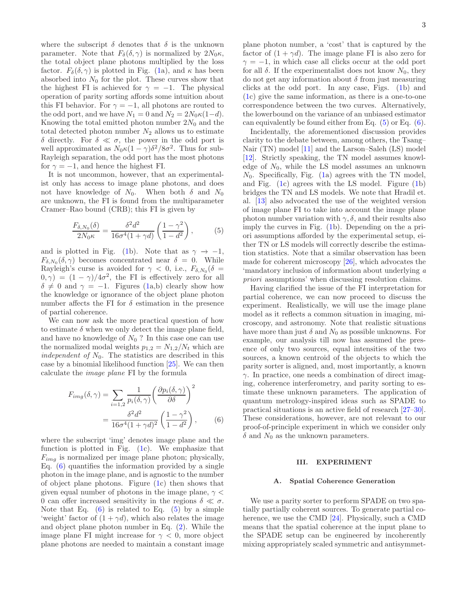where the subscript  $\delta$  denotes that  $\delta$  is the unknown parameter. Note that  $F_{\delta}(\delta, \gamma)$  is normalized by  $2N_0\kappa$ , the total object plane photons multiplied by the loss factor.  $F_{\delta}(\delta, \gamma)$  is plotted in Fig. [\(1a](#page-1-2)), and  $\kappa$  has been absorbed into  $N_0$  for the plot. These curves show that the highest FI is achieved for  $\gamma = -1$ . The physical operation of parity sorting affords some intuition about this FI behavior. For  $\gamma = -1$ , all photons are routed to the odd port, and we have  $N_1 = 0$  and  $N_2 = 2N_0\kappa(1-d)$ . Knowing the total emitted photon number  $2N_0$  and the total detected photon number  $N_2$  allows us to estimate δ directly. For δ ≪ σ, the power in the odd port is well approximated as  $N_0 \kappa (1 - \gamma) \delta^2 / 8 \sigma^2$ . Thus for sub-Rayleigh separation, the odd port has the most photons for  $\gamma = -1$ , and hence the highest FI.

It is not uncommon, however, that an experimentalist only has access to image plane photons, and does not have knowledge of  $N_0$ . When both  $\delta$  and  $N_0$ are unknown, the FI is found from the multiparameter Cramer–Rao bound (CRB); this FI is given by

$$
\frac{F_{\delta, N_0}(\delta)}{2N_0\kappa} = \frac{\delta^2 d^2}{16\sigma^4 (1+\gamma d)} \left(\frac{1-\gamma^2}{1-d^2}\right),\tag{5}
$$

and is plotted in Fig. [\(1b](#page-1-2)). Note that as  $\gamma \to -1$ ,  $F_{\delta, N_0}(\delta, \gamma)$  becomes concentrated near  $\delta = 0$ . While Rayleigh's curse is avoided for  $\gamma < 0$ , i.e.,  $F_{\delta, N_0}(\delta =$  $(0, \gamma) = (1 - \gamma)/4\sigma^2$ , the FI is effectively zero for all  $\delta \neq 0$  and  $\gamma = -1$ . Figures [\(1a](#page-1-2),b) clearly show how the knowledge or ignorance of the object plane photon number affects the FI for  $\delta$  estimation in the presence of partial coherence.

We can now ask the more practical question of how to estimate  $\delta$  when we only detect the image plane field, and have no knowledge of  $N_0$ ? In this case one can use the normalized modal weights  $p_{1,2} = N_{1,2}/N_t$  which are independent of  $N_0$ . The statistics are described in this case by a binomial likelihood function [\[25](#page-6-21)]. We can then calculate the image plane FI by the formula

$$
F_{img}(\delta, \gamma) = \sum_{i=1,2} \frac{1}{p_i(\delta, \gamma)} \left( \frac{\partial p_i(\delta, \gamma)}{\partial \delta} \right)^2
$$

$$
= \frac{\delta^2 d^2}{16\sigma^4 (1 + \gamma d)^2} \left( \frac{1 - \gamma^2}{1 - d^2} \right), \qquad (6)
$$

where the subscript 'img' denotes image plane and the function is plotted in Fig.  $(1c)$ . We emphasize that  $F_{img}$  is normalized per image plane photon; physically, Eq.  $(6)$  quantifies the information provided by a single photon in the image plane, and is agnostic to the number of object plane photons. Figure [\(1c](#page-1-2)) then shows that given equal number of photons in the image plane,  $\gamma$  < 0 can offer increased sensitivity in the regions  $\delta \ll \sigma$ . Note that Eq.  $(6)$  is related to Eq.  $(5)$  by a simple 'weight' factor of  $(1 + \gamma d)$ , which also relates the image and object plane photon number in Eq. [\(2\)](#page-1-0). While the image plane FI might increase for  $\gamma < 0$ , more object plane photons are needed to maintain a constant image plane photon number, a 'cost' that is captured by the factor of  $(1 + \gamma d)$ . The image plane FI is also zero for  $\gamma = -1$ , in which case all clicks occur at the odd port for all  $\delta$ . If the experimentalist does not know  $N_0$ , they do not get any information about δ from just measuring clicks at the odd port. In any case, Figs. [\(1b](#page-1-2)) and [\(1c](#page-1-2)) give the same information, as there is a one-to-one correspondence between the two curves. Alternatively, the lowerbound on the variance of an unbiased estimator can equivalently be found either from Eq.  $(5)$  or Eq.  $(6)$ .

Incidentally, the aforementioned discussion provides clarity to the debate between, among others, the Tsang– Nair (TN) model [\[11\]](#page-6-12) and the Larson–Saleh (LS) model [\[12](#page-6-16)]. Strictly speaking, the TN model assumes knowledge of  $N_0$ , while the LS model assumes an unknown  $N_0$ . Specifically, Fig. [\(1a](#page-1-2)) agrees with the TN model, and Fig. [\(1c](#page-1-2)) agrees with the LS model. Figure [\(1b](#page-1-2)) bridges the TN and LS models. We note that Hradil et. al. [\[13\]](#page-6-13) also advocated the use of the weighted version of image plane FI to take into account the image plane photon number variation with  $\gamma$ ,  $\delta$ , and their results also imply the curves in Fig. [\(1b](#page-1-2)). Depending on the a priori assumptions afforded by the experimental setup, either TN or LS models will correctly describe the estimation statistics. Note that a similar observation has been made for coherent microscopy [\[26\]](#page-6-22), which advocates the 'mandatory inclusion of information about underlying a priori assumptions' when discussing resolution claims.

<span id="page-2-2"></span>Having clarified the issue of the FI interpretation for partial coherence, we can now proceed to discuss the experiment. Realistically, we will use the image plane model as it reflects a common situation in imaging, microscopy, and astronomy. Note that realistic situations have more than just  $\delta$  and  $N_0$  as possible unknowns. For example, our analysis till now has assumed the presence of only two sources, equal intensities of the two sources, a known centroid of the objects to which the parity sorter is aligned, and, most importantly, a known  $\gamma$ . In practice, one needs a combination of direct imaging, coherence interferometry, and parity sorting to estimate these unknown parameters. The application of quantum metrology-inspired ideas such as SPADE to practical situations is an active field of research [\[27](#page-6-23)[–30\]](#page-6-24). These considerations, however, are not relevant to our proof-of-principle experiment in which we consider only  $\delta$  and  $N_0$  as the unknown parameters.

# <span id="page-2-0"></span>III. EXPERIMENT

#### <span id="page-2-3"></span><span id="page-2-1"></span>A. Spatial Coherence Generation

We use a parity sorter to perform SPADE on two spatially partially coherent sources. To generate partial coherence, we use the CMD [\[24](#page-6-20)]. Physically, such a CMD means that the spatial coherence at the input plane to the SPADE setup can be engineered by incoherently mixing appropriately scaled symmetric and antisymmet-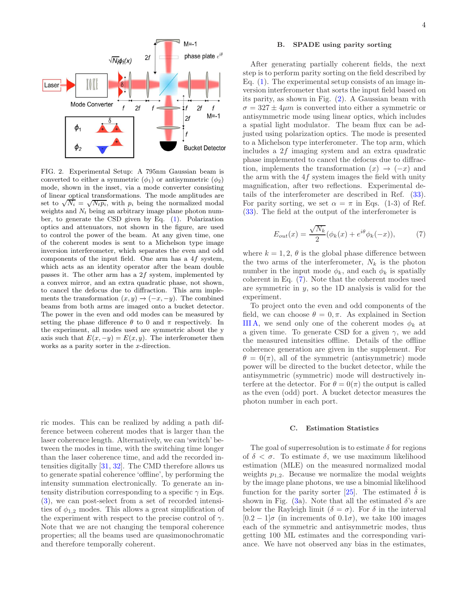

<span id="page-3-0"></span>FIG. 2. Experimental Setup: A 795nm Gaussian beam is converted to either a symmetric  $(\phi_1)$  or antisymmetric  $(\phi_2)$ mode, shown in the inset, via a mode converter consisting of linear optical transformations. The mode amplitudes are set to  $\sqrt{N_i} = \sqrt{N_i p_i}$ , with  $p_i$  being the normalized modal weights and  $N_t$  being an arbitrary image plane photon number, to generate the CSD given by Eq. [\(1\)](#page-1-3). Polarization optics and attenuators, not shown in the figure, are used to control the power of the beam. At any given time, one of the coherent modes is sent to a Michelson type image inversion interferometer, which separates the even and odd components of the input field. One arm has a 4f system, which acts as an identity operator after the beam double passes it. The other arm has a 2f system, implemented by a convex mirror, and an extra quadratic phase, not shown, to cancel the defocus due to diffraction. This arm implements the transformation  $(x, y) \rightarrow (-x, -y)$ . The combined beams from both arms are imaged onto a bucket detector. The power in the even and odd modes can be measured by setting the phase difference  $\theta$  to 0 and  $\pi$  respectively. In the experiment, all modes used are symmetric about the y axis such that  $E(x, -y) = E(x, y)$ . The interferometer then works as a parity sorter in the x-direction.

ric modes. This can be realized by adding a path difference between coherent modes that is larger than the laser coherence length. Alternatively, we can 'switch' between the modes in time, with the switching time longer than the laser coherence time, and add the recorded intensities digitally [\[31,](#page-6-25) [32](#page-6-26)]. The CMD therefore allows us to generate spatial coherence 'offline', by performing the intensity summation electronically. To generate an intensity distribution corresponding to a specific  $\gamma$  in Eqs. [\(3\)](#page-1-1), we can post-select from a set of recorded intensities of  $\phi_{1,2}$  modes. This allows a great simplification of the experiment with respect to the precise control of  $\gamma$ . Note that we are not changing the temporal coherence properties; all the beams used are quasimonochromatic and therefore temporally coherent.

# B. SPADE using parity sorting

After generating partially coherent fields, the next step is to perform parity sorting on the field described by Eq.  $(1)$ . The experimental setup consists of an image inversion interferometer that sorts the input field based on its parity, as shown in Fig. [\(2\)](#page-3-0). A Gaussian beam with  $\sigma = 327 \pm 4 \mu m$  is converted into either a symmetric or antisymmetric mode using linear optics, which includes a spatial light modulator. The beam flux can be adjusted using polarization optics. The mode is presented to a Michelson type interferometer. The top arm, which includes a 2f imaging system and an extra quadratic phase implemented to cancel the defocus due to diffraction, implements the transformation  $(x) \rightarrow (-x)$  and the arm with the 4f system images the field with unity magnification, after two reflections. Experimental details of the interferometer are described in Ref. [\(33](#page-6-27)). For parity sorting, we set  $\alpha = \pi$  in Eqs. (1-3) of Ref. [\(33](#page-6-27)). The field at the output of the interferometer is

<span id="page-3-1"></span>
$$
E_{out}(x) = \frac{\sqrt{N_k}}{2} (\phi_k(x) + e^{i\theta} \phi_k(-x)),
$$
 (7)

where  $k = 1, 2, \theta$  is the global phase difference between the two arms of the interferometer,  $N_k$  is the photon number in the input mode  $\phi_k$ , and each  $\phi_k$  is spatially coherent in Eq. [\(7\)](#page-3-1). Note that the coherent modes used are symmetric in  $y$ , so the 1D analysis is valid for the experiment.

To project onto the even and odd components of the field, we can choose  $\theta = 0, \pi$ . As explained in Section [III A,](#page-2-3) we send only one of the coherent modes  $\phi_k$  at a given time. To generate CSD for a given  $\gamma$ , we add the measured intensities offline. Details of the offline coherence generation are given in the supplement. For  $\theta = 0(\pi)$ , all of the symmetric (antisymmetric) mode power will be directed to the bucket detector, while the antisymmetric (symmetric) mode will destructively interfere at the detector. For  $\theta = \theta(\pi)$  the output is called as the even (odd) port. A bucket detector measures the photon number in each port.

### C. Estimation Statistics

The goal of superresolution is to estimate  $\delta$  for regions of  $\delta < \sigma$ . To estimate  $\delta$ , we use maximum likelihood estimation (MLE) on the measured normalized modal weights  $p_{1,2}$ . Because we normalize the modal weights by the image plane photons, we use a binomial likelihood function for the parity sorter [\[25\]](#page-6-21). The estimated  $\hat{\delta}$  is shown in Fig. [\(3a](#page-4-0)). Note that all the estimated  $\delta$ 's are below the Rayleigh limit  $(\delta = \sigma)$ . For  $\delta$  in the interval  $[0.2 - 1]\sigma$  (in increments of  $(0.1\sigma)$ , we take 100 images each of the symmetric and antisymmetric modes, thus getting 100 ML estimates and the corresponding variance. We have not observed any bias in the estimates,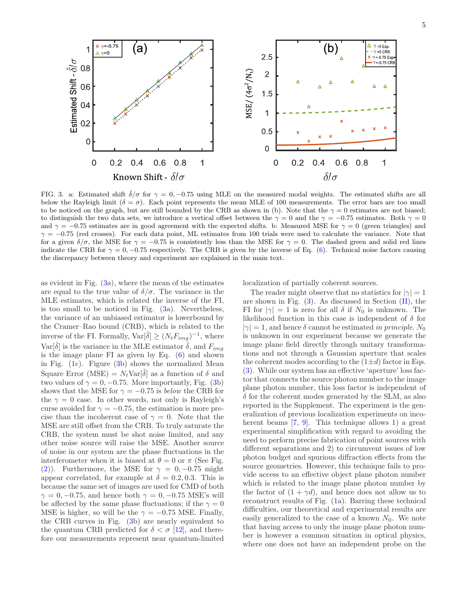

<span id="page-4-0"></span>FIG. 3. a: Estimated shift  $\hat{\delta}/\sigma$  for  $\gamma = 0, -0.75$  using MLE on the measured modal weights. The estimated shifts are all below the Rayleigh limit ( $\delta = \sigma$ ). Each point represents the mean MLE of 100 measurements. The error bars are too small to be noticed on the graph, but are still bounded by the CRB as shown in (b). Note that the  $\gamma = 0$  estimates are not biased; to distinguish the two data sets, we introduce a vertical offset between the  $\gamma = 0$  and the  $\gamma = -0.75$  estimates. Both  $\gamma = 0$ and  $\gamma = -0.75$  estimates are in good agreement with the expected shifts. b: Measured MSE for  $\gamma = 0$  (green triangles) and  $\gamma = -0.75$  (red crosses). For each data point, ML estimates from 100 trials were used to calculate the variance. Note that for a given  $\delta/\sigma$ , the MSE for  $\gamma = -0.75$  is consistently less than the MSE for  $\gamma = 0$ . The dashed green and solid red lines indicate the CRB for  $\gamma = 0, -0.75$  respectively. The CRB is given by the inverse of Eq. [\(6\)](#page-2-1). Technical noise factors causing the discrepancy between theory and experiment are explained in the main text.

as evident in Fig.  $(3a)$ , where the mean of the estimates are equal to the true value of  $\delta/\sigma$ . The variance in the MLE estimates, which is related the inverse of the FI, is too small to be noticed in Fig.  $(3a)$ . Nevertheless, the variance of an unbiased estimator is lowerbound by the Cramer–Rao bound (CRB), which is related to the inverse of the FI. Formally,  $\text{Var}[\hat{\delta}] \ge (N_t F_{img})^{-1}$ , where Var $[\hat{\delta}]$  is the variance in the MLE estimator  $\hat{\delta}$ , and  $F_{img}$ is the image plane FI as given by Eq. [\(6\)](#page-2-1) and shown in Fig. [\(1c](#page-1-2)). Figure [\(3b](#page-4-0)) shows the normalized Mean Square Error (MSE) =  $N_t$ Var $[\hat{\delta}]$  as a function of  $\delta$  and two values of  $\gamma = 0, -0.75$ . More importantly, Fig. [\(3b](#page-4-0)) shows that the MSE for  $\gamma = -0.75$  is below the CRB for the  $\gamma = 0$  case. In other words, not only is Rayleigh's curse avoided for  $\gamma = -0.75$ , the estimation is more precise than the incoherent case of  $\gamma = 0$ . Note that the MSE are still offset from the CRB. To truly saturate the CRB, the system must be shot noise limited, and any other noise source will raise the MSE. Another source of noise in our system are the phase fluctuations in the interferometer when it is biased at  $\theta = 0$  or  $\pi$  (See Fig. [\(2\)](#page-3-0)). Furthermore, the MSE for  $\gamma = 0, -0.75$  might appear correlated, for example at  $\delta = 0.2, 0.3$ . This is because the same set of images are used for CMD of both  $\gamma = 0, -0.75$ , and hence both  $\gamma = 0, -0.75$  MSE's will be affected by the same phase fluctuations; if the  $\gamma = 0$ MSE is higher, so will be the  $\gamma = -0.75$  MSE. Finally, the CRB curves in Fig. [\(3b](#page-4-0)) are nearly equivalent to the quantum CRB predicted for  $\delta < \sigma$  [\[12\]](#page-6-16), and therefore our measurements represent near quantum-limited localization of partially coherent sources.

The reader might observe that no statistics for  $|\gamma|=1$ are shown in Fig.  $(3)$ . As discussed in Section  $(II)$ , the FI for  $|\gamma|=1$  is zero for all  $\delta$  if  $N_0$  is unknown. The likelihood function in this case is independent of  $\delta$  for  $|\gamma| = 1$ , and hence  $\delta$  cannot be estimated in principle. N<sub>0</sub> is unknown in our experiment because we generate the image plane field directly through unitary transformations and not through a Gaussian aperture that scales the coherent modes according to the  $(1 \pm d)$  factor in Eqs. [\(3\)](#page-1-1). While our system has an effective 'aperture' loss factor that connects the source photon number to the image plane photon number, this loss factor is independent of  $\delta$  for the coherent modes generated by the SLM, as also reported in the Supplement. The experiment is the generalization of previous localization experiments on incoherent beams [\[7,](#page-6-18) [9\]](#page-6-19). This technique allows 1) a great experimental simplification with regard to avoiding the need to perform precise fabrication of point sources with different separations and 2) to circumvent issues of low photon budget and spurious diffraction effects from the source geometries. However, this technique fails to provide access to an effective object plane photon number which is related to the image plane photon number by the factor of  $(1 + \gamma d)$ , and hence does not allow us to reconstruct results of Fig. [\(1a](#page-1-2)). Barring these technical difficulties, our theoretical and experimental results are easily generalized to the case of a known  $N_0$ . We note that having access to only the image plane photon number is however a common situation in optical physics, where one does not have an independent probe on the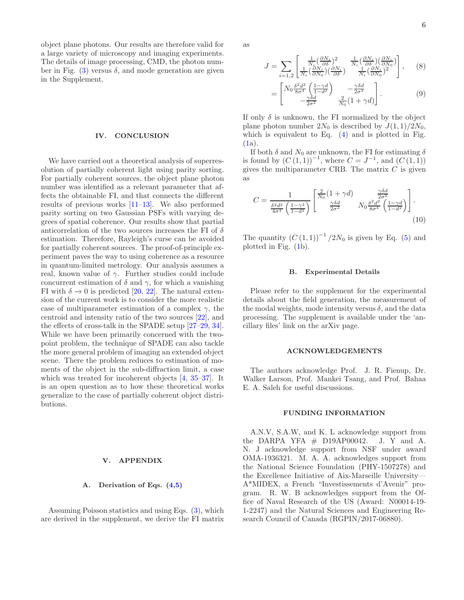6

object plane photons. Our results are therefore valid for a large variety of microscopy and imaging experiments. The details of image processing, CMD, the photon number in Fig.  $(3)$  versus  $\delta$ , and mode generation are given in the Supplement.

#### <span id="page-5-0"></span>IV. CONCLUSION

We have carried out a theoretical analysis of superresolution of partially coherent light using parity sorting. For partially coherent sources, the object plane photon number was identified as a relevant parameter that affects the obtainable FI, and that connects the different results of previous works [\[11](#page-6-12)[–13\]](#page-6-13). We also performed parity sorting on two Gaussian PSFs with varying degrees of spatial coherence. Our results show that partial anticorrelation of the two sources increases the FI of  $\delta$ estimation. Therefore, Rayleigh's curse can be avoided for partially coherent sources. The proof-of-principle experiment paves the way to using coherence as a resource in quantum-limited metrology. Our analysis assumes a real, known value of  $\gamma$ . Further studies could include concurrent estimation of  $\delta$  and  $\gamma$ , for which a vanishing FI with  $\delta \rightarrow 0$  is predicted [\[20,](#page-6-14) [22\]](#page-6-15). The natural extension of the current work is to consider the more realistic case of multiparameter estimation of a complex  $\gamma$ , the centroid and intensity ratio of the two sources [\[22\]](#page-6-15), and the effects of cross-talk in the SPADE setup [\[27](#page-6-23)[–29,](#page-6-28) [34](#page-6-29)]. While we have been primarily concerned with the twopoint problem, the technique of SPADE can also tackle the more general problem of imaging an extended object scene. There the problem reduces to estimation of moments of the object in the sub-diffraction limit, a case which was treated for incoherent objects [\[4,](#page-6-30) [35–](#page-6-31)[37\]](#page-6-32). It is an open question as to how these theoretical works generalize to the case of partially coherent object distributions.

# V. APPENDIX

### A. Derivation of Eqs. [\(4](#page-1-4)[,5\)](#page-2-2)

Assuming Poisson statistics and using Eqs. [\(3\)](#page-1-1), which are derived in the supplement, we derive the FI matrix as

$$
J = \sum_{i=1,2} \begin{bmatrix} \frac{1}{N_i} (\frac{\partial N_i}{\partial \delta})^2 & \frac{1}{N_i} (\frac{\partial N_i}{\partial \delta}) (\frac{\partial N_i}{\partial N_0}) \\ \frac{1}{N_i} (\frac{\partial N_i}{\partial N_0}) (\frac{\partial N_i}{\partial \delta}) & \frac{1}{N_i} (\frac{\partial N_i}{\partial N_0})^2 \end{bmatrix}, \quad (8)
$$

$$
= \begin{bmatrix} N_0 \frac{\delta^2 d^2}{8\sigma^4} \left( \frac{1-\gamma d}{1-d^2} \right) & -\frac{\gamma \delta d}{2\sigma^2} \\ -\frac{\gamma \delta d}{2\sigma^2} & \frac{2}{N_0} (1+\gamma d) \end{bmatrix} . \tag{9}
$$

If only  $\delta$  is unknown, the FI normalized by the object plane photon number  $2N_0$  is described by  $J(1,1)/2N_0$ , which is equivalent to Eq. [\(4\)](#page-1-4) and is plotted in Fig.  $(1a)$  $(1a)$ .

If both  $\delta$  and  $N_0$  are unknown, the FI for estimating  $\delta$ is found by  $(C(1,1))^{-1}$ , where  $C = J^{-1}$ , and  $(C(1,1))$ gives the multiparameter CRB. The matrix  $C$  is given as

$$
C = \frac{1}{\frac{\delta^2 d^2}{4\sigma^4} \left(\frac{1-\gamma^2}{1-d^2}\right)} \begin{bmatrix} \frac{2}{N_0} (1+\gamma d) & \frac{\gamma \delta d}{2\sigma^2} \\ \frac{\gamma \delta d}{2\sigma^2} & N_0 \frac{\delta^2 d^2}{8\sigma^4} \left(\frac{1-\gamma d}{1-d^2}\right) \end{bmatrix} . \tag{10}
$$

The quantity  $(C(1,1))^{-1}/2N_0$  is given by Eq. [\(5\)](#page-2-2) and plotted in Fig. [\(1b](#page-1-2)).

#### B. Experimental Details

Please refer to the supplement for the experimental details about the field generation, the measurement of the modal weights, mode intensity versus  $\delta$ , and the data processing. The supplement is available under the 'ancillary files' link on the arXiv page.

# ACKNOWLEDGEMENTS

The authors acknowledge Prof. J. R. Fienup, Dr. Walker Larson, Prof. Mankei Tsang, and Prof. Bahaa E. A. Saleh for useful discussions.

### FUNDING INFORMATION

A.N.V, S.A.W, and K. L acknowledge support from the DARPA YFA  $#$  D19AP00042. J. Y and A. N. J acknowledge support from NSF under award OMA-1936321. M. A. A. acknowledges support from the National Science Foundation (PHY-1507278) and the Excellence Initiative of Aix-Marseille University— A\*MIDEX, a French "Investissements d'Avenir" program. R. W. B acknowledges support from the Office of Naval Research of the US (Award: N00014-19- 1-2247) and the Natural Sciences and Engineering Research Council of Canada (RGPIN/2017-06880).